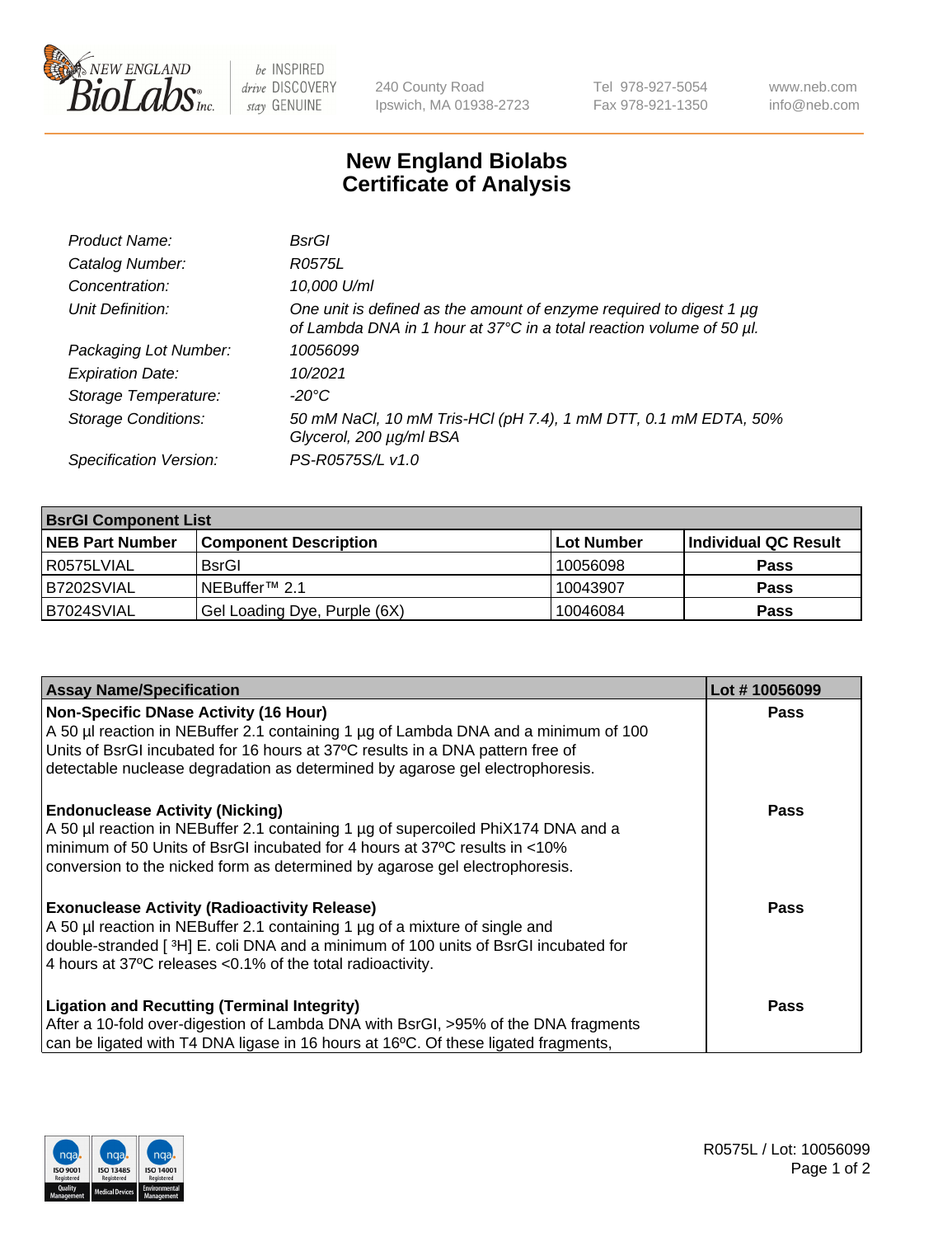

 $be$  INSPIRED drive DISCOVERY stay GENUINE

240 County Road Ipswich, MA 01938-2723 Tel 978-927-5054 Fax 978-921-1350 www.neb.com info@neb.com

## **New England Biolabs Certificate of Analysis**

| Product Name:              | BsrGl                                                                                                                                       |
|----------------------------|---------------------------------------------------------------------------------------------------------------------------------------------|
| Catalog Number:            | R0575L                                                                                                                                      |
| Concentration:             | 10,000 U/ml                                                                                                                                 |
| Unit Definition:           | One unit is defined as the amount of enzyme required to digest 1 µg<br>of Lambda DNA in 1 hour at 37°C in a total reaction volume of 50 µl. |
| Packaging Lot Number:      | 10056099                                                                                                                                    |
| <b>Expiration Date:</b>    | 10/2021                                                                                                                                     |
| Storage Temperature:       | $-20^{\circ}$ C                                                                                                                             |
| <b>Storage Conditions:</b> | 50 mM NaCl, 10 mM Tris-HCl (pH 7.4), 1 mM DTT, 0.1 mM EDTA, 50%<br>Glycerol, 200 µg/ml BSA                                                  |
| Specification Version:     | PS-R0575S/L v1.0                                                                                                                            |

| <b>BsrGI Component List</b> |                              |            |                      |  |
|-----------------------------|------------------------------|------------|----------------------|--|
| <b>NEB Part Number</b>      | <b>Component Description</b> | Lot Number | Individual QC Result |  |
| R0575LVIAL                  | <b>BsrGI</b>                 | 10056098   | <b>Pass</b>          |  |
| B7202SVIAL                  | INEBuffer™ 2.1               | 10043907   | <b>Pass</b>          |  |
| B7024SVIAL                  | Gel Loading Dye, Purple (6X) | 10046084   | <b>Pass</b>          |  |

| <b>Assay Name/Specification</b>                                                                                                                                       | Lot #10056099 |
|-----------------------------------------------------------------------------------------------------------------------------------------------------------------------|---------------|
| Non-Specific DNase Activity (16 Hour)                                                                                                                                 | <b>Pass</b>   |
| A 50 µl reaction in NEBuffer 2.1 containing 1 µg of Lambda DNA and a minimum of 100<br>Units of BsrGI incubated for 16 hours at 37°C results in a DNA pattern free of |               |
| detectable nuclease degradation as determined by agarose gel electrophoresis.                                                                                         |               |
|                                                                                                                                                                       |               |
| <b>Endonuclease Activity (Nicking)</b><br>A 50 µl reaction in NEBuffer 2.1 containing 1 µg of supercoiled PhiX174 DNA and a                                           | <b>Pass</b>   |
| minimum of 50 Units of BsrGI incubated for 4 hours at 37°C results in <10%                                                                                            |               |
| conversion to the nicked form as determined by agarose gel electrophoresis.                                                                                           |               |
| <b>Exonuclease Activity (Radioactivity Release)</b>                                                                                                                   | Pass          |
| A 50 µl reaction in NEBuffer 2.1 containing 1 µg of a mixture of single and                                                                                           |               |
| double-stranded [3H] E. coli DNA and a minimum of 100 units of BsrGI incubated for                                                                                    |               |
| 4 hours at 37°C releases < 0.1% of the total radioactivity.                                                                                                           |               |
| <b>Ligation and Recutting (Terminal Integrity)</b>                                                                                                                    | <b>Pass</b>   |
| After a 10-fold over-digestion of Lambda DNA with BsrGI, >95% of the DNA fragments                                                                                    |               |
| can be ligated with T4 DNA ligase in 16 hours at 16 <sup>o</sup> C. Of these ligated fragments,                                                                       |               |